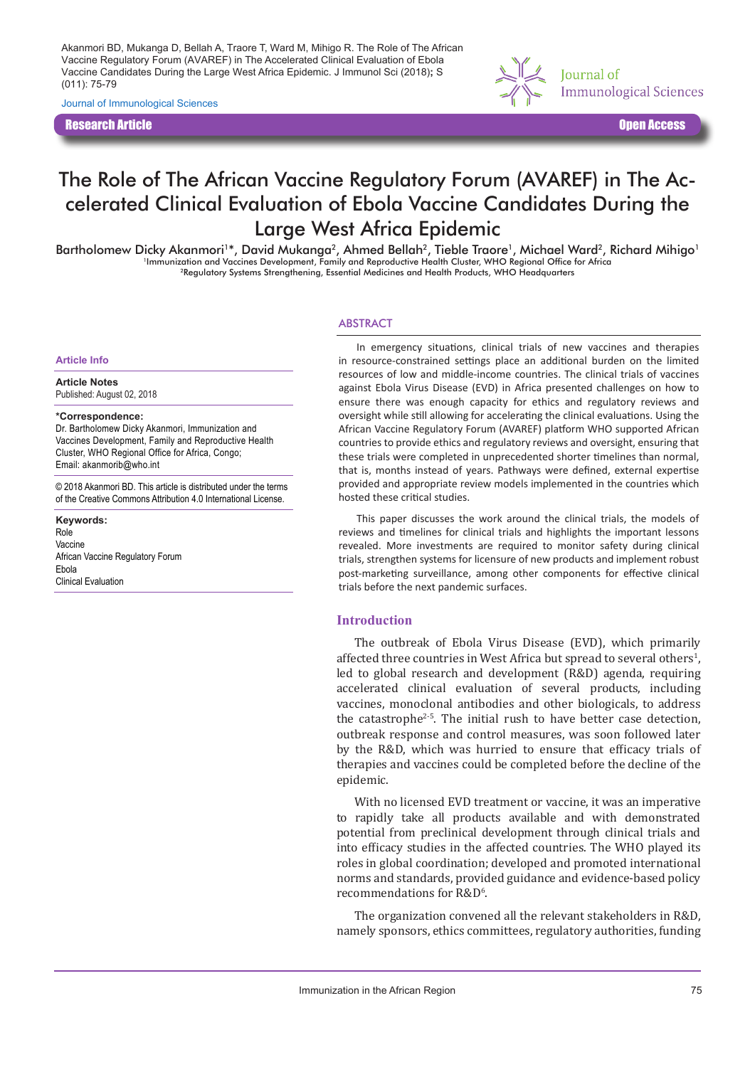Akanmori BD, Mukanga D, Bellah A, Traore T, Ward M, Mihigo R. The Role of The African Vaccine Regulatory Forum (AVAREF) in The Accelerated Clinical Evaluation of Ebola Vaccine Candidates During the Large West Africa Epidemic. J Immunol Sci (2018)**;** S (011): 75-79

Journal of Immunological Sciences

Research Article Open Access



# The Role of The African Vaccine Regulatory Forum (AVAREF) in The Accelerated Clinical Evaluation of Ebola Vaccine Candidates During the Large West Africa Epidemic

Bartholomew Dicky Akanmori<sup>1\*</sup>, David Mukanga<sup>2</sup>, Ahmed Bellah<sup>2</sup>, Tieble Traore<sup>1</sup>, Michael Ward<sup>2</sup>, Richard Mihigo<sup>1</sup><br>Immunization and Vaccines Development, Family and Reproductive Health Cluster, WHO Regional Office for 2Regulatory Systems Strengthening, Essential Medicines and Health Products, WHO Headquarters

#### **ABSTRACT**

**Article Info**

**Article Notes**

Published: August 02, 2018

#### **\*Correspondence:**

Dr. Bartholomew Dicky Akanmori, Immunization and Vaccines Development, Family and Reproductive Health Cluster, WHO Regional Office for Africa, Congo; Email: akanmorib@who.int

© 2018 Akanmori BD. This article is distributed under the terms of the Creative Commons Attribution 4.0 International License.

**Keywords:** Role Vaccine African Vaccine Regulatory Forum Ebola Clinical Evaluation

In emergency situations, clinical trials of new vaccines and therapies in resource-constrained settings place an additional burden on the limited resources of low and middle-income countries. The clinical trials of vaccines against Ebola Virus Disease (EVD) in Africa presented challenges on how to ensure there was enough capacity for ethics and regulatory reviews and oversight while still allowing for accelerating the clinical evaluations. Using the African Vaccine Regulatory Forum (AVAREF) platform WHO supported African countries to provide ethics and regulatory reviews and oversight, ensuring that these trials were completed in unprecedented shorter timelines than normal, that is, months instead of years. Pathways were defined, external expertise provided and appropriate review models implemented in the countries which hosted these critical studies.

This paper discusses the work around the clinical trials, the models of reviews and timelines for clinical trials and highlights the important lessons revealed. More investments are required to monitor safety during clinical trials, strengthen systems for licensure of new products and implement robust post-marketing surveillance, among other components for effective clinical trials before the next pandemic surfaces.

## **Introduction**

The outbreak of Ebola Virus Disease (EVD), which primarily affected three countries in West Africa but spread to several others $^1$ , led to global research and development (R&D) agenda, requiring accelerated clinical evaluation of several products, including vaccines, monoclonal antibodies and other biologicals, to address the catastrophe<sup>2-5</sup>. The initial rush to have better case detection, outbreak response and control measures, was soon followed later by the R&D, which was hurried to ensure that efficacy trials of therapies and vaccines could be completed before the decline of the epidemic.

With no licensed EVD treatment or vaccine, it was an imperative to rapidly take all products available and with demonstrated potential from preclinical development through clinical trials and into efficacy studies in the affected countries. The WHO played its roles in global coordination; developed and promoted international norms and standards, provided guidance and evidence-based policy recommendations for R&D<sup>6</sup>.

The organization convened all the relevant stakeholders in R&D, namely sponsors, ethics committees, regulatory authorities, funding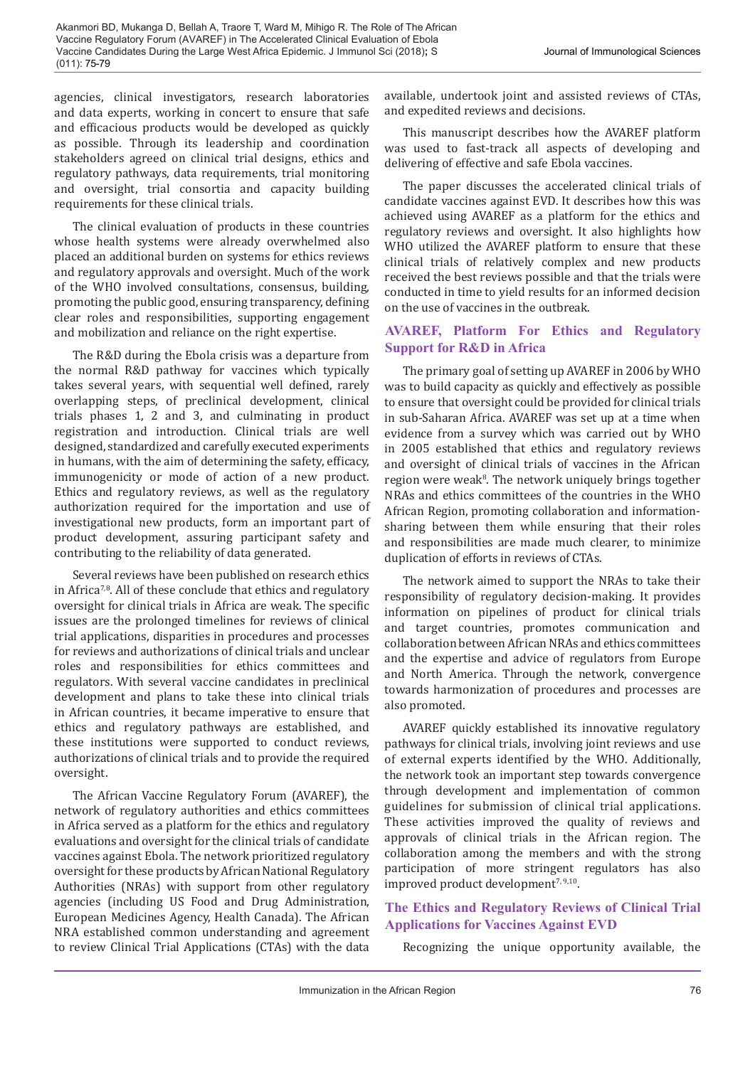agencies, clinical investigators, research laboratories and data experts, working in concert to ensure that safe and efficacious products would be developed as quickly as possible. Through its leadership and coordination stakeholders agreed on clinical trial designs, ethics and regulatory pathways, data requirements, trial monitoring and oversight, trial consortia and capacity building requirements for these clinical trials.

The clinical evaluation of products in these countries whose health systems were already overwhelmed also placed an additional burden on systems for ethics reviews and regulatory approvals and oversight. Much of the work of the WHO involved consultations, consensus, building, promoting the public good, ensuring transparency, defining clear roles and responsibilities, supporting engagement and mobilization and reliance on the right expertise.

The R&D during the Ebola crisis was a departure from the normal R&D pathway for vaccines which typically takes several years, with sequential well defined, rarely overlapping steps, of preclinical development, clinical trials phases 1, 2 and 3, and culminating in product registration and introduction. Clinical trials are well designed, standardized and carefully executed experiments in humans, with the aim of determining the safety, efficacy, immunogenicity or mode of action of a new product. Ethics and regulatory reviews, as well as the regulatory authorization required for the importation and use of investigational new products, form an important part of product development, assuring participant safety and contributing to the reliability of data generated.

Several reviews have been published on research ethics in Africa7,8. All of these conclude that ethics and regulatory oversight for clinical trials in Africa are weak. The specific issues are the prolonged timelines for reviews of clinical trial applications, disparities in procedures and processes for reviews and authorizations of clinical trials and unclear roles and responsibilities for ethics committees and regulators. With several vaccine candidates in preclinical development and plans to take these into clinical trials in African countries, it became imperative to ensure that ethics and regulatory pathways are established, and these institutions were supported to conduct reviews, authorizations of clinical trials and to provide the required oversight.

The African Vaccine Regulatory Forum (AVAREF), the network of regulatory authorities and ethics committees in Africa served as a platform for the ethics and regulatory evaluations and oversight for the clinical trials of candidate vaccines against Ebola. The network prioritized regulatory oversight for these products by African National Regulatory Authorities (NRAs) with support from other regulatory agencies (including US Food and Drug Administration, European Medicines Agency, Health Canada). The African NRA established common understanding and agreement to review Clinical Trial Applications (CTAs) with the data available, undertook joint and assisted reviews of CTAs, and expedited reviews and decisions.

This manuscript describes how the AVAREF platform was used to fast-track all aspects of developing and delivering of effective and safe Ebola vaccines.

The paper discusses the accelerated clinical trials of candidate vaccines against EVD. It describes how this was achieved using AVAREF as a platform for the ethics and regulatory reviews and oversight. It also highlights how WHO utilized the AVAREF platform to ensure that these clinical trials of relatively complex and new products received the best reviews possible and that the trials were conducted in time to yield results for an informed decision on the use of vaccines in the outbreak.

# **AVAREF, Platform For Ethics and Regulatory Support for R&D in Africa**

The primary goal of setting up AVAREF in 2006 by WHO was to build capacity as quickly and effectively as possible to ensure that oversight could be provided for clinical trials in sub-Saharan Africa. AVAREF was set up at a time when evidence from a survey which was carried out by WHO in 2005 established that ethics and regulatory reviews and oversight of clinical trials of vaccines in the African region were weak<sup>8</sup>. The network uniquely brings together NRAs and ethics committees of the countries in the WHO African Region, promoting collaboration and informationsharing between them while ensuring that their roles and responsibilities are made much clearer, to minimize duplication of efforts in reviews of CTAs.

The network aimed to support the NRAs to take their responsibility of regulatory decision-making. It provides information on pipelines of product for clinical trials and target countries, promotes communication and collaboration between African NRAs and ethics committees and the expertise and advice of regulators from Europe and North America. Through the network, convergence towards harmonization of procedures and processes are also promoted.

AVAREF quickly established its innovative regulatory pathways for clinical trials, involving joint reviews and use of external experts identified by the WHO. Additionally, the network took an important step towards convergence through development and implementation of common guidelines for submission of clinical trial applications. These activities improved the quality of reviews and approvals of clinical trials in the African region. The collaboration among the members and with the strong participation of more stringent regulators has also improved product development<sup>7, 9,10</sup>.

# **The Ethics and Regulatory Reviews of Clinical Trial Applications for Vaccines Against EVD**

Recognizing the unique opportunity available, the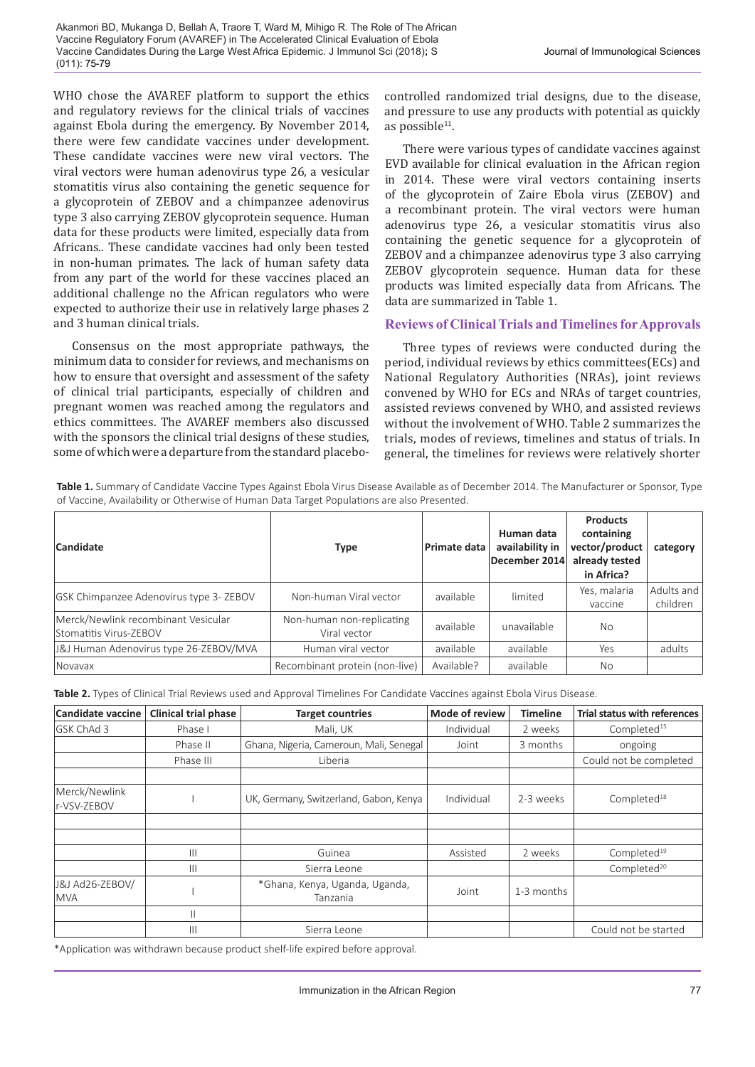WHO chose the AVAREF platform to support the ethics and regulatory reviews for the clinical trials of vaccines against Ebola during the emergency. By November 2014, there were few candidate vaccines under development. These candidate vaccines were new viral vectors. The viral vectors were human adenovirus type 26, a vesicular stomatitis virus also containing the genetic sequence for a glycoprotein of ZEBOV and a chimpanzee adenovirus type 3 also carrying ZEBOV glycoprotein sequence. Human data for these products were limited, especially data from Africans.. These candidate vaccines had only been tested in non-human primates. The lack of human safety data from any part of the world for these vaccines placed an additional challenge no the African regulators who were expected to authorize their use in relatively large phases 2 and 3 human clinical trials.

Consensus on the most appropriate pathways, the minimum data to consider for reviews, and mechanisms on how to ensure that oversight and assessment of the safety of clinical trial participants, especially of children and pregnant women was reached among the regulators and ethics committees. The AVAREF members also discussed with the sponsors the clinical trial designs of these studies, some of which were a departure from the standard placebocontrolled randomized trial designs, due to the disease, and pressure to use any products with potential as quickly as possible $11$ .

There were various types of candidate vaccines against EVD available for clinical evaluation in the African region in 2014. These were viral vectors containing inserts of the glycoprotein of Zaire Ebola virus (ZEBOV) and a recombinant protein. The viral vectors were human adenovirus type 26, a vesicular stomatitis virus also containing the genetic sequence for a glycoprotein of ZEBOV and a chimpanzee adenovirus type 3 also carrying ZEBOV glycoprotein sequence. Human data for these products was limited especially data from Africans. The data are summarized in Table 1.

# **Reviews of Clinical Trials and Timelines for Approvals**

Three types of reviews were conducted during the period, individual reviews by ethics committees(ECs) and National Regulatory Authorities (NRAs), joint reviews convened by WHO for ECs and NRAs of target countries, assisted reviews convened by WHO, and assisted reviews without the involvement of WHO. Table 2 summarizes the trials, modes of reviews, timelines and status of trials. In general, the timelines for reviews were relatively shorter

**Table 1.** Summary of Candidate Vaccine Types Against Ebola Virus Disease Available as of December 2014. The Manufacturer or Sponsor, Type of Vaccine, Availability or Otherwise of Human Data Target Populations are also Presented.

| Candidate                                                     | <b>Type</b>                               | Primate data | Human data<br>availability in<br>December 2014 | <b>Products</b><br>containing<br>vector/product<br>already tested<br>in Africa? | category               |
|---------------------------------------------------------------|-------------------------------------------|--------------|------------------------------------------------|---------------------------------------------------------------------------------|------------------------|
| <b>GSK Chimpanzee Adenovirus type 3- ZEBOV</b>                | Non-human Viral vector                    | available    | limited                                        | Yes, malaria<br>vaccine                                                         | Adults and<br>children |
| Merck/Newlink recombinant Vesicular<br>Stomatitis Virus-ZEBOV | Non-human non-replicating<br>Viral vector | available    | unavailable                                    | <b>No</b>                                                                       |                        |
| J&J Human Adenovirus type 26-ZEBOV/MVA                        | Human viral vector                        | available    | available                                      | Yes                                                                             | adults                 |
| Novavax                                                       | Recombinant protein (non-live)            | Available?   | available                                      | <b>No</b>                                                                       |                        |

| Table 2. Types of Clinical Trial Reviews used and Approval Timelines For Candidate Vaccines against Ebola Virus Disease. |
|--------------------------------------------------------------------------------------------------------------------------|
|--------------------------------------------------------------------------------------------------------------------------|

| <b>Candidate vaccine</b>      | <b>Clinical trial phase</b> | <b>Target countries</b>                    | <b>Mode of review</b> | <b>Timeline</b> | <b>Trial status with references</b> |
|-------------------------------|-----------------------------|--------------------------------------------|-----------------------|-----------------|-------------------------------------|
| GSK ChAd 3                    | Phase I                     | Mali, UK                                   | Individual            | 2 weeks         | Completed <sup>15</sup>             |
|                               | Phase II                    | Ghana, Nigeria, Cameroun, Mali, Senegal    | Joint                 | 3 months        | ongoing                             |
|                               | Phase III                   | Liberia                                    |                       |                 | Could not be completed              |
|                               |                             |                                            |                       |                 |                                     |
| Merck/Newlink<br>r-VSV-ZEBOV  |                             | UK, Germany, Switzerland, Gabon, Kenya     | Individual            | 2-3 weeks       | Completed <sup>18</sup>             |
|                               |                             |                                            |                       |                 |                                     |
|                               |                             |                                            |                       |                 |                                     |
|                               | $\mathbf{III}$              | Guinea                                     | Assisted              | 2 weeks         | Completed <sup>19</sup>             |
|                               | $\mathbf{III}$              | Sierra Leone                               |                       |                 | Completed <sup>20</sup>             |
| J&J Ad26-ZEBOV/<br><b>MVA</b> |                             | *Ghana, Kenya, Uganda, Uganda,<br>Tanzania | Joint                 | 1-3 months      |                                     |
|                               | Ш                           |                                            |                       |                 |                                     |
|                               | Ш                           | Sierra Leone                               |                       |                 | Could not be started                |

\*Application was withdrawn because product shelf-life expired before approval.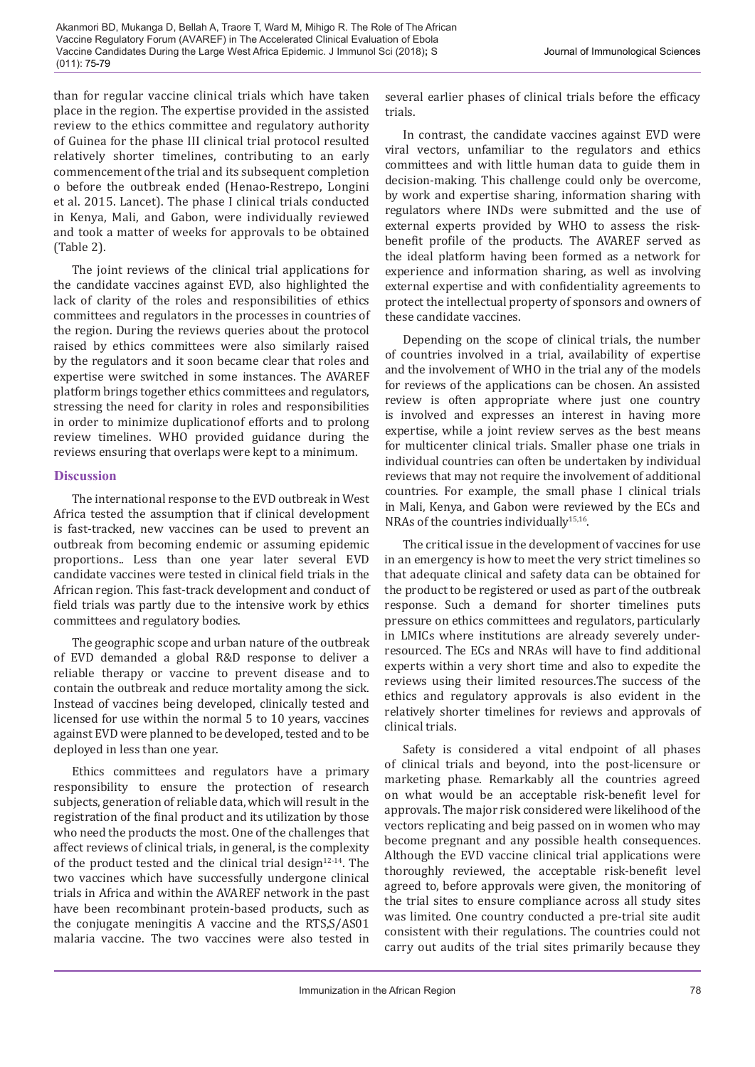Akanmori BD, Mukanga D, Bellah A, Traore T, Ward M, Mihigo R. The Role of The African Vaccine Regulatory Forum (AVAREF) in The Accelerated Clinical Evaluation of Ebola Vaccine Candidates During the Large West Africa Epidemic. J Immunol Sci (2018)**;** S (011): 75-79

than for regular vaccine clinical trials which have taken place in the region. The expertise provided in the assisted review to the ethics committee and regulatory authority of Guinea for the phase III clinical trial protocol resulted relatively shorter timelines, contributing to an early commencement of the trial and its subsequent completion o before the outbreak ended (Henao-Restrepo, Longini et al. 2015. Lancet). The phase I clinical trials conducted in Kenya, Mali, and Gabon, were individually reviewed and took a matter of weeks for approvals to be obtained (Table 2).

The joint reviews of the clinical trial applications for the candidate vaccines against EVD, also highlighted the lack of clarity of the roles and responsibilities of ethics committees and regulators in the processes in countries of the region. During the reviews queries about the protocol raised by ethics committees were also similarly raised by the regulators and it soon became clear that roles and expertise were switched in some instances. The AVAREF platform brings together ethics committees and regulators, stressing the need for clarity in roles and responsibilities in order to minimize duplicationof efforts and to prolong review timelines. WHO provided guidance during the reviews ensuring that overlaps were kept to a minimum.

# **Discussion**

The international response to the EVD outbreak in West Africa tested the assumption that if clinical development is fast-tracked, new vaccines can be used to prevent an outbreak from becoming endemic or assuming epidemic proportions.. Less than one year later several EVD candidate vaccines were tested in clinical field trials in the African region. This fast-track development and conduct of field trials was partly due to the intensive work by ethics committees and regulatory bodies.

The geographic scope and urban nature of the outbreak of EVD demanded a global R&D response to deliver a reliable therapy or vaccine to prevent disease and to contain the outbreak and reduce mortality among the sick. Instead of vaccines being developed, clinically tested and licensed for use within the normal 5 to 10 years, vaccines against EVD were planned to be developed, tested and to be deployed in less than one year.

Ethics committees and regulators have a primary responsibility to ensure the protection of research subjects, generation of reliable data, which will result in the registration of the final product and its utilization by those who need the products the most. One of the challenges that affect reviews of clinical trials, in general, is the complexity of the product tested and the clinical trial design<sup>12-14</sup>. The two vaccines which have successfully undergone clinical trials in Africa and within the AVAREF network in the past have been recombinant protein-based products, such as the conjugate meningitis A vaccine and the RTS,S/AS01 malaria vaccine. The two vaccines were also tested in

several earlier phases of clinical trials before the efficacy trials.

In contrast, the candidate vaccines against EVD were viral vectors, unfamiliar to the regulators and ethics committees and with little human data to guide them in decision-making. This challenge could only be overcome, by work and expertise sharing, information sharing with regulators where INDs were submitted and the use of external experts provided by WHO to assess the riskbenefit profile of the products. The AVAREF served as the ideal platform having been formed as a network for experience and information sharing, as well as involving external expertise and with confidentiality agreements to protect the intellectual property of sponsors and owners of these candidate vaccines.

Depending on the scope of clinical trials, the number of countries involved in a trial, availability of expertise and the involvement of WHO in the trial any of the models for reviews of the applications can be chosen. An assisted review is often appropriate where just one country is involved and expresses an interest in having more expertise, while a joint review serves as the best means for multicenter clinical trials. Smaller phase one trials in individual countries can often be undertaken by individual reviews that may not require the involvement of additional countries. For example, the small phase I clinical trials in Mali, Kenya, and Gabon were reviewed by the ECs and NRAs of the countries individually<sup>15,16</sup>.

The critical issue in the development of vaccines for use in an emergency is how to meet the very strict timelines so that adequate clinical and safety data can be obtained for the product to be registered or used as part of the outbreak response. Such a demand for shorter timelines puts pressure on ethics committees and regulators, particularly in LMICs where institutions are already severely underresourced. The ECs and NRAs will have to find additional experts within a very short time and also to expedite the reviews using their limited resources.The success of the ethics and regulatory approvals is also evident in the relatively shorter timelines for reviews and approvals of clinical trials.

Safety is considered a vital endpoint of all phases of clinical trials and beyond, into the post-licensure or marketing phase. Remarkably all the countries agreed on what would be an acceptable risk-benefit level for approvals. The major risk considered were likelihood of the vectors replicating and beig passed on in women who may become pregnant and any possible health consequences. Although the EVD vaccine clinical trial applications were thoroughly reviewed, the acceptable risk-benefit level agreed to, before approvals were given, the monitoring of the trial sites to ensure compliance across all study sites was limited. One country conducted a pre-trial site audit consistent with their regulations. The countries could not carry out audits of the trial sites primarily because they